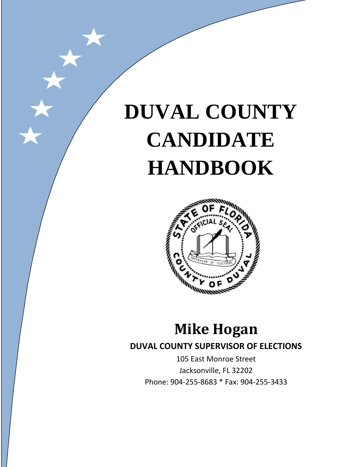# **DUVAL COUNTY CANDIDATE HANDBOOK**



# **Mike Hogan**

# **DUVAL COUNTY SUPERVISOR OF ELECTIONS**

105 East Monroe Street Jacksonville, FL 32202 Phone: 904-255-8683 \* Fax: 904-255-3433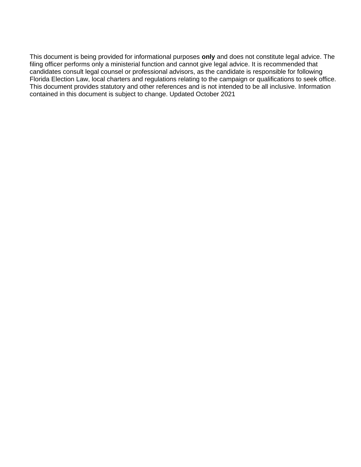This document is being provided for informational purposes **only** and does not constitute legal advice. The filing officer performs only a ministerial function and cannot give legal advice. It is recommended that candidates consult legal counsel or professional advisors, as the candidate is responsible for following Florida Election Law, local charters and regulations relating to the campaign or qualifications to seek office. This document provides statutory and other references and is not intended to be all inclusive. Information contained in this document is subject to change. Updated October 2021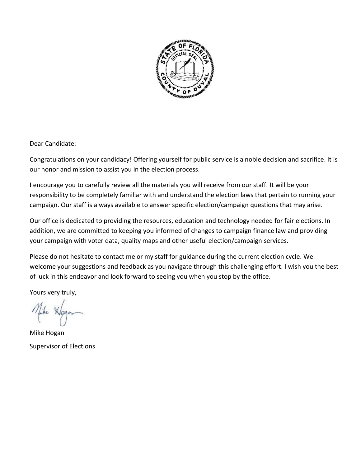

Dear Candidate:

Congratulations on your candidacy! Offering yourself for public service is a noble decision and sacrifice. It is our honor and mission to assist you in the election process.

I encourage you to carefully review all the materials you will receive from our staff. It will be your responsibility to be completely familiar with and understand the election laws that pertain to running your campaign. Our staff is always available to answer specific election/campaign questions that may arise.

Our office is dedicated to providing the resources, education and technology needed for fair elections. In addition, we are committed to keeping you informed of changes to campaign finance law and providing your campaign with voter data, quality maps and other useful election/campaign services.

Please do not hesitate to contact me or my staff for guidance during the current election cycle. We welcome your suggestions and feedback as you navigate through this challenging effort. I wish you the best of luck in this endeavor and look forward to seeing you when you stop by the office.

Yours very truly,

Mike Hogan Supervisor of Elections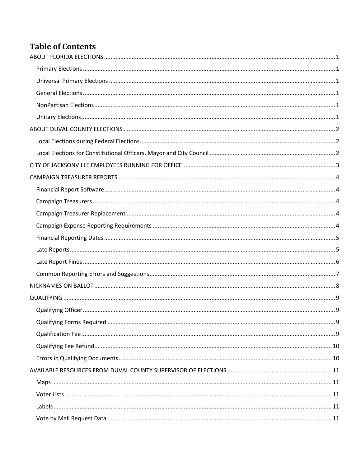# **Table of Contents**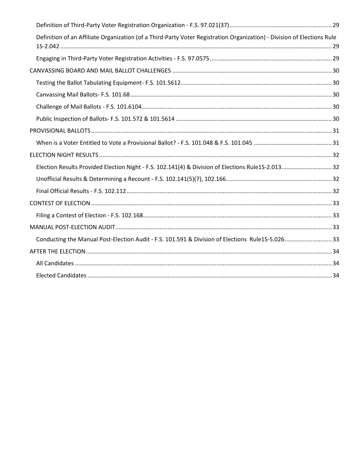| Definition of an Affiliate Organization (of a Third-Party Voter Registration Organization) - Division of Elections Rule |  |
|-------------------------------------------------------------------------------------------------------------------------|--|
|                                                                                                                         |  |
|                                                                                                                         |  |
|                                                                                                                         |  |
|                                                                                                                         |  |
|                                                                                                                         |  |
|                                                                                                                         |  |
|                                                                                                                         |  |
|                                                                                                                         |  |
|                                                                                                                         |  |
| Election Results Provided Election Night - F.S. 102.141(4) & Division of Elections Rule1S-2.013 32                      |  |
|                                                                                                                         |  |
|                                                                                                                         |  |
|                                                                                                                         |  |
|                                                                                                                         |  |
|                                                                                                                         |  |
| Conducting the Manual Post-Election Audit - F.S. 101.591 & Division of Elections Rule1S-5.02633                         |  |
|                                                                                                                         |  |
|                                                                                                                         |  |
|                                                                                                                         |  |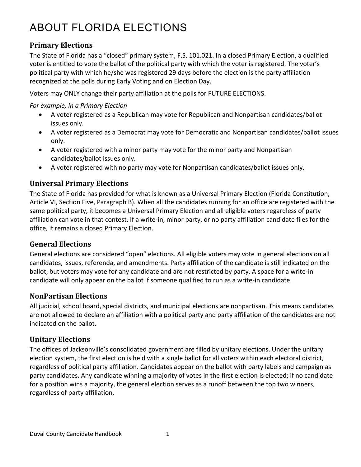# <span id="page-8-0"></span>ABOUT FLORIDA ELECTIONS

### <span id="page-8-1"></span>**Primary Elections**

The State of Florida has a "closed" primary system, F.S. 101.021. In a closed Primary Election, a qualified voter is entitled to vote the ballot of the political party with which the voter is registered. The voter's political party with which he/she was registered 29 days before the election is the party affiliation recognized at the polls during Early Voting and on Election Day.

Voters may ONLY change their party affiliation at the polls for FUTURE ELECTIONS.

*For example, in a Primary Election*

- A voter registered as a Republican may vote for Republican and Nonpartisan candidates/ballot issues only.
- A voter registered as a Democrat may vote for Democratic and Nonpartisan candidates/ballot issues only.
- A voter registered with a minor party may vote for the minor party and Nonpartisan candidates/ballot issues only.
- A voter registered with no party may vote for Nonpartisan candidates/ballot issues only.

### <span id="page-8-2"></span>**Universal Primary Elections**

The State of Florida has provided for what is known as a Universal Primary Election (Florida Constitution, Article VI, Section Five, Paragraph B). When all the candidates running for an office are registered with the same political party, it becomes a Universal Primary Election and all eligible voters regardless of party affiliation can vote in that contest. If a write-in, minor party, or no party affiliation candidate files for the office, it remains a closed Primary Election.

#### <span id="page-8-3"></span>**General Elections**

General elections are considered "open" elections. All eligible voters may vote in general elections on all candidates, issues, referenda, and amendments. Party affiliation of the candidate is still indicated on the ballot, but voters may vote for any candidate and are not restricted by party. A space for a write-in candidate will only appear on the ballot if someone qualified to run as a write-in candidate.

#### <span id="page-8-4"></span>**NonPartisan Elections**

All judicial, school board, special districts, and municipal elections are nonpartisan. This means candidates are not allowed to declare an affiliation with a political party and party affiliation of the candidates are not indicated on the ballot.

### <span id="page-8-5"></span>**Unitary Elections**

The offices of Jacksonville's consolidated government are filled by unitary elections. Under the unitary election system, the first election is held with a single ballot for all voters within each electoral district, regardless of political party affiliation. Candidates appear on the ballot with party labels and campaign as party candidates. Any candidate winning a majority of votes in the first election is elected; if no candidate for a position wins a majority, the general election serves as a runoff between the top two winners, regardless of party affiliation.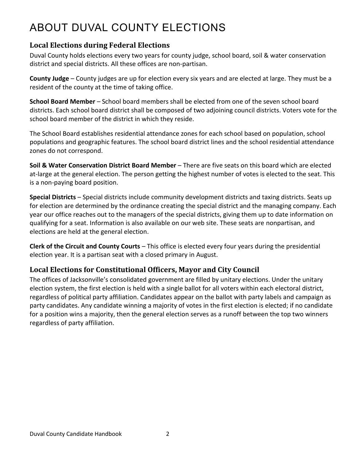# <span id="page-9-0"></span>ABOUT DUVAL COUNTY ELECTIONS

### <span id="page-9-1"></span>**Local Elections during Federal Elections**

Duval County holds elections every two years for county judge, school board, soil & water conservation district and special districts. All these offices are non-partisan.

**County Judge** – County judges are up for election every six years and are elected at large. They must be a resident of the county at the time of taking office.

**School Board Member** – School board members shall be elected from one of the seven school board districts. Each school board district shall be composed of two adjoining council districts. Voters vote for the school board member of the district in which they reside.

The School Board establishes residential attendance zones for each school based on population, school populations and geographic features. The school board district lines and the school residential attendance zones do not correspond.

**Soil & Water Conservation District Board Member** – There are five seats on this board which are elected at-large at the general election. The person getting the highest number of votes is elected to the seat. This is a non-paying board position.

**Special Districts** – Special districts include community development districts and taxing districts. Seats up for election are determined by the ordinance creating the special district and the managing company. Each year our office reaches out to the managers of the special districts, giving them up to date information on qualifying for a seat. Information is also available on our web site. These seats are nonpartisan, and elections are held at the general election.

**Clerk of the Circuit and County Courts** – This office is elected every four years during the presidential election year. It is a partisan seat with a closed primary in August.

# <span id="page-9-2"></span>**Local Elections for Constitutional Officers, Mayor and City Council**

The offices of Jacksonville's consolidated government are filled by unitary elections. Under the unitary election system, the first election is held with a single ballot for all voters within each electoral district, regardless of political party affiliation. Candidates appear on the ballot with party labels and campaign as party candidates. Any candidate winning a majority of votes in the first election is elected; if no candidate for a position wins a majority, then the general election serves as a runoff between the top two winners regardless of party affiliation.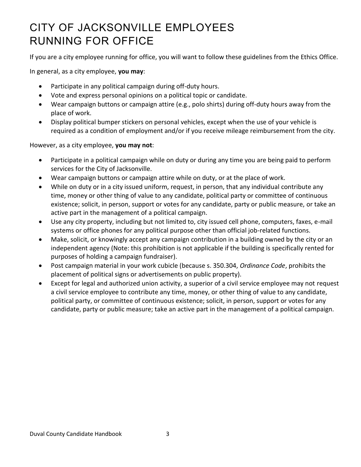# <span id="page-10-0"></span>CITY OF JACKSONVILLE EMPLOYEES RUNNING FOR OFFICE

If you are a city employee running for office, you will want to follow these guidelines from the Ethics Office.

In general, as a city employee, **you may**:

- Participate in any political campaign during off-duty hours.
- Vote and express personal opinions on a political topic or candidate.
- Wear campaign buttons or campaign attire (e.g., polo shirts) during off-duty hours away from the place of work.
- Display political bumper stickers on personal vehicles, except when the use of your vehicle is required as a condition of employment and/or if you receive mileage reimbursement from the city.

However, as a city employee, **you may not**:

- Participate in a political campaign while on duty or during any time you are being paid to perform services for the City of Jacksonville.
- Wear campaign buttons or campaign attire while on duty, or at the place of work.
- While on duty or in a city issued uniform, request, in person, that any individual contribute any time, money or other thing of value to any candidate, political party or committee of continuous existence; solicit, in person, support or votes for any candidate, party or public measure, or take an active part in the management of a political campaign.
- Use any city property, including but not limited to, city issued cell phone, computers, faxes, e-mail systems or office phones for any political purpose other than official job-related functions.
- Make, solicit, or knowingly accept any campaign contribution in a building owned by the city or an independent agency (Note: this prohibition is not applicable if the building is specifically rented for purposes of holding a campaign fundraiser).
- Post campaign material in your work cubicle (because s. 350.304, *Ordinance Code*, prohibits the placement of political signs or advertisements on public property).
- Except for legal and authorized union activity, a superior of a civil service employee may not request a civil service employee to contribute any time, money, or other thing of value to any candidate, political party, or committee of continuous existence; solicit, in person, support or votes for any candidate, party or public measure; take an active part in the management of a political campaign.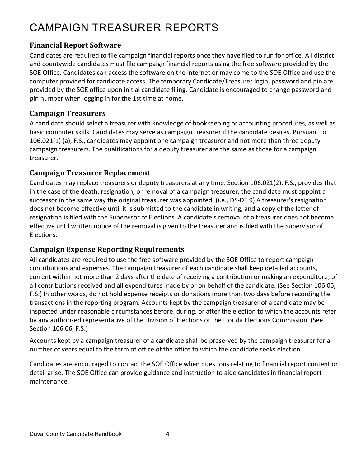# <span id="page-11-0"></span>CAMPAIGN TREASURER REPORTS

# <span id="page-11-1"></span>**Financial Report Software**

Candidates are required to file campaign financial reports once they have filed to run for office. All district and countywide candidates must file campaign financial reports using the free software provided by the SOE Office. Candidates can access the software on the internet or may come to the SOE Office and use the computer provided for candidate access. The temporary Candidate/Treasurer login, password and pin are provided by the SOE office upon initial candidate filing. Candidate is encouraged to change password and pin number when logging in for the 1st time at home.

### <span id="page-11-2"></span>**Campaign Treasurers**

A candidate should select a treasurer with knowledge of bookkeeping or accounting procedures, as well as basic computer skills. Candidates may serve as campaign treasurer if the candidate desires. Pursuant to 106.021(1) (a), F.S., candidates may appoint one campaign treasurer and not more than three deputy campaign treasurers. The qualifications for a deputy treasurer are the same as those for a campaign treasurer.

### <span id="page-11-3"></span>**Campaign Treasurer Replacement**

Candidates may replace treasurers or deputy treasurers at any time. Section 106.021(2), F.S., provides that in the case of the death, resignation, or removal of a campaign treasurer, the candidate must appoint a successor in the same way the original treasurer was appointed. (i.e., DS-DE 9) A treasurer's resignation does not become effective until it is submitted to the candidate in writing, and a copy of the letter of resignation is filed with the Supervisor of Elections. A candidate's removal of a treasurer does not become effective until written notice of the removal is given to the treasurer and is filed with the Supervisor of Elections.

### <span id="page-11-4"></span>**Campaign Expense Reporting Requirements**

All candidates are required to use the free software provided by the SOE Office to report campaign contributions and expenses. The campaign treasurer of each candidate shall keep detailed accounts, current within not more than 2 days after the date of receiving a contribution or making an expenditure, of all contributions received and all expenditures made by or on behalf of the candidate. (See Section 106.06, F.S.) In other words, do not hold expense receipts or donations more than two days before recording the transactions in the reporting program. Accounts kept by the campaign treasurer of a candidate may be inspected under reasonable circumstances before, during, or after the election to which the accounts refer by any authorized representative of the Division of Elections or the Florida Elections Commission. (See Section 106.06, F.S.)

Accounts kept by a campaign treasurer of a candidate shall be preserved by the campaign treasurer for a number of years equal to the term of office of the office to which the candidate seeks election.

Candidates are encouraged to contact the SOE Office when questions relating to financial report content or detail arise. The SOE Office can provide guidance and instruction to aide candidates in financial report maintenance.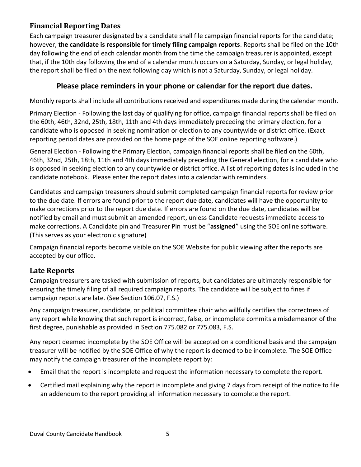### <span id="page-12-0"></span>**Financial Reporting Dates**

Each campaign treasurer designated by a candidate shall file campaign financial reports for the candidate; however, **the candidate is responsible for timely filing campaign reports**. Reports shall be filed on the 10th day following the end of each calendar month from the time the campaign treasurer is appointed, except that, if the 10th day following the end of a calendar month occurs on a Saturday, Sunday, or legal holiday, the report shall be filed on the next following day which is not a Saturday, Sunday, or legal holiday.

### **Please place reminders in your phone or calendar for the report due dates.**

Monthly reports shall include all contributions received and expenditures made during the calendar month.

Primary Election - Following the last day of qualifying for office, campaign financial reports shall be filed on the 60th, 46th, 32nd, 25th, 18th, 11th and 4th days immediately preceding the primary election, for a candidate who is opposed in seeking nomination or election to any countywide or district office. (Exact reporting period dates are provided on the home page of the SOE online reporting software.)

General Election - Following the Primary Election, campaign financial reports shall be filed on the 60th, 46th, 32nd, 25th, 18th, 11th and 4th days immediately preceding the General election, for a candidate who is opposed in seeking election to any countywide or district office. A list of reporting dates is included in the candidate notebook. Please enter the report dates into a calendar with reminders.

Candidates and campaign treasurers should submit completed campaign financial reports for review prior to the due date. If errors are found prior to the report due date, candidates will have the opportunity to make corrections prior to the report due date. If errors are found on the due date, candidates will be notified by email and must submit an amended report, unless Candidate requests immediate access to make corrections. A Candidate pin and Treasurer Pin must be "**assigned**" using the SOE online software. (This serves as your electronic signature)

Campaign financial reports become visible on the SOE Website for public viewing after the reports are accepted by our office.

### <span id="page-12-1"></span>**Late Reports**

Campaign treasurers are tasked with submission of reports, but candidates are ultimately responsible for ensuring the timely filing of all required campaign reports. The candidate will be subject to fines if campaign reports are late. (See Section 106.07, F.S.)

Any campaign treasurer, candidate, or political committee chair who willfully certifies the correctness of any report while knowing that such report is incorrect, false, or incomplete commits a misdemeanor of the first degree, punishable as provided in Section 775.082 or 775.083, F.S.

Any report deemed incomplete by the SOE Office will be accepted on a conditional basis and the campaign treasurer will be notified by the SOE Office of why the report is deemed to be incomplete. The SOE Office may notify the campaign treasurer of the incomplete report by:

- Email that the report is incomplete and request the information necessary to complete the report.
- Certified mail explaining why the report is incomplete and giving 7 days from receipt of the notice to file an addendum to the report providing all information necessary to complete the report.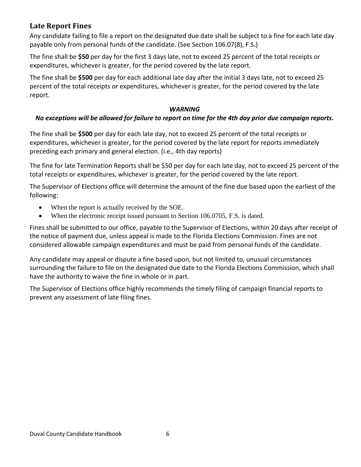#### <span id="page-13-0"></span>**Late Report Fines**

Any candidate failing to file a report on the designated due date shall be subject to a fine for each late day payable only from personal funds of the candidate. (See Section 106.07(8), F.S.)

The fine shall be **\$50** per day for the first 3 days late, not to exceed 25 percent of the total receipts or expenditures, whichever is greater, for the period covered by the late report.

The fine shall be **\$500** per day for each additional late day after the initial 3 days late, not to exceed 25 percent of the total receipts or expenditures, whichever is greater, for the period covered by the late report.

#### *WARNING*

#### *No exceptions will be allowed for failure to report on time for the 4th day prior due campaign reports.*

The fine shall be **\$500** per day for each late day, not to exceed 25 percent of the total receipts or expenditures, whichever is greater, for the period covered by the late report for reports immediately preceding each primary and general election. (i.e., 4th day reports)

The fine for late Termination Reports shall be \$50 per day for each late day, not to exceed 25 percent of the total receipts or expenditures, whichever is greater, for the period covered by the late report.

The Supervisor of Elections office will determine the amount of the fine due based upon the earliest of the following:

- When the report is actually received by the SOE.
- When the electronic receipt issued pursuant to Section 106.0705, F.S. is dated.

Fines shall be submitted to our office, payable to the Supervisor of Elections, within 20 days after receipt of the notice of payment due, unless appeal is made to the Florida Elections Commission. Fines are not considered allowable campaign expenditures and must be paid from personal funds of the candidate.

Any candidate may appeal or dispute a fine based upon, but not limited to, unusual circumstances surrounding the failure to file on the designated due date to the Florida Elections Commission, which shall have the authority to waive the fine in whole or in part.

The Supervisor of Elections office highly recommends the timely filing of campaign financial reports to prevent any assessment of late filing fines.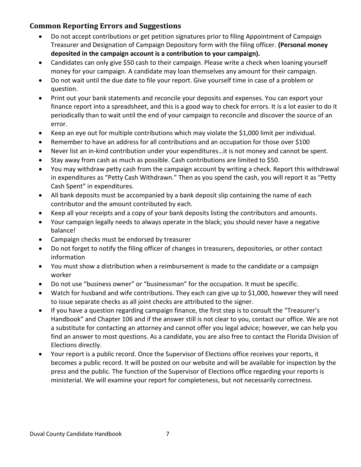### <span id="page-14-0"></span>**Common Reporting Errors and Suggestions**

- Do not accept contributions or get petition signatures prior to filing Appointment of Campaign Treasurer and Designation of Campaign Depository form with the filing officer. **(Personal money deposited in the campaign account is a contribution to your campaign).**
- Candidates can only give \$50 cash to their campaign. Please write a check when loaning yourself money for your campaign. A candidate may loan themselves any amount for their campaign.
- Do not wait until the due date to file your report. Give yourself time in case of a problem or question.
- Print out your bank statements and reconcile your deposits and expenses. You can export your finance report into a spreadsheet, and this is a good way to check for errors. It is a lot easier to do it periodically than to wait until the end of your campaign to reconcile and discover the source of an error.
- Keep an eye out for multiple contributions which may violate the \$1,000 limit per individual.
- Remember to have an address for all contributions and an occupation for those over \$100
- Never list an in-kind contribution under your expenditures…it is not money and cannot be spent.
- Stay away from cash as much as possible. Cash contributions are limited to \$50.
- You may withdraw petty cash from the campaign account by writing a check. Report this withdrawal in expenditures as "Petty Cash Withdrawn." Then as you spend the cash, you will report it as "Petty Cash Spent" in expenditures.
- All bank deposits must be accompanied by a bank deposit slip containing the name of each contributor and the amount contributed by each.
- Keep all your receipts and a copy of your bank deposits listing the contributors and amounts.
- Your campaign legally needs to always operate in the black; you should never have a negative balance!
- Campaign checks must be endorsed by treasurer
- Do not forget to notify the filing officer of changes in treasurers, depositories, or other contact information
- You must show a distribution when a reimbursement is made to the candidate or a campaign worker
- Do not use "business owner" or "businessman" for the occupation. It must be specific.
- Watch for husband and wife contributions. They each can give up to \$1,000, however they will need to issue separate checks as all joint checks are attributed to the signer.
- If you have a question regarding campaign finance, the first step is to consult the "Treasurer's Handbook" and Chapter 106 and if the answer still is not clear to you, contact our office. We are not a substitute for contacting an attorney and cannot offer you legal advice; however, we can help you find an answer to most questions. As a candidate, you are also free to contact the Florida Division of Elections directly.
- Your report is a public record. Once the Supervisor of Elections office receives your reports, it becomes a public record. It will be posted on our website and will be available for inspection by the press and the public. The function of the Supervisor of Elections office regarding your reports is ministerial. We will examine your report for completeness, but not necessarily correctness.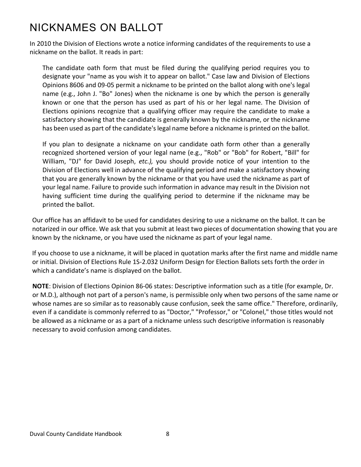# <span id="page-15-0"></span>NICKNAMES ON BALLOT

In 2010 the Division of Elections wrote a notice informing candidates of the requirements to use a nickname on the ballot. It reads in part:

The candidate oath form that must be filed during the qualifying period requires you to designate your "name as you wish it to appear on ballot." Case law and Division of Elections Opinions 8606 and 09-05 permit a nickname to be printed on the ballot along with one's legal name (e.g., John J. "Bo" Jones) when the nickname is one by which the person is generally known or one that the person has used as part of his or her legal name. The Division of Elections opinions recognize that a qualifying officer may require the candidate to make a satisfactory showing that the candidate is generally known by the nickname, or the nickname has been used as part of the candidate's legal name before a nickname is printed on the ballot.

If you plan to designate a nickname on your candidate oath form other than a generally recognized shortened version of your legal name (e.g., "Rob" or "Bob" for Robert, "Bill" for William, "DJ" for David Joseph, *etc.),* you should provide notice of your intention to the Division of Elections well in advance of the qualifying period and make a satisfactory showing that you are generally known by the nickname or that you have used the nickname as part of your legal name. Failure to provide such information in advance may result in the Division not having sufficient time during the qualifying period to determine if the nickname may be printed the ballot.

Our office has an affidavit to be used for candidates desiring to use a nickname on the ballot. It can be notarized in our office. We ask that you submit at least two pieces of documentation showing that you are known by the nickname, or you have used the nickname as part of your legal name.

If you choose to use a nickname, it will be placed in quotation marks after the first name and middle name or initial. Division of Elections Rule 1S-2.032 Uniform Design for Election Ballots sets forth the order in which a candidate's name is displayed on the ballot.

**NOTE**: Division of Elections Opinion 86-06 states: Descriptive information such as a title (for example, Dr. or M.D.), although not part of a person's name, is permissible only when two persons of the same name or whose names are so similar as to reasonably cause confusion, seek the same office." Therefore, ordinarily, even if a candidate is commonly referred to as "Doctor," "Professor," or "Colonel," those titles would not be allowed as a nickname or as a part of a nickname unless such descriptive information is reasonably necessary to avoid confusion among candidates.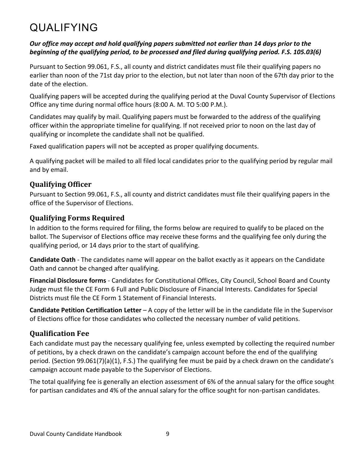# <span id="page-16-0"></span>QUALIFYING

#### *Our office may accept and hold qualifying papers submitted not earlier than 14 days prior to the beginning of the qualifying period, to be processed and filed during qualifying period. F.S. 105.03(6)*

Pursuant to Section 99.061, F.S., all county and district candidates must file their qualifying papers no earlier than noon of the 71st day prior to the election, but not later than noon of the 67th day prior to the date of the election.

Qualifying papers will be accepted during the qualifying period at the Duval County Supervisor of Elections Office any time during normal office hours (8:00 A. M. TO 5:00 P.M.).

Candidates may qualify by mail. Qualifying papers must be forwarded to the address of the qualifying officer within the appropriate timeline for qualifying. If not received prior to noon on the last day of qualifying or incomplete the candidate shall not be qualified.

Faxed qualification papers will not be accepted as proper qualifying documents.

A qualifying packet will be mailed to all filed local candidates prior to the qualifying period by regular mail and by email.

### <span id="page-16-1"></span>**Qualifying Officer**

Pursuant to Section 99.061, F.S., all county and district candidates must file their qualifying papers in the office of the Supervisor of Elections.

### <span id="page-16-2"></span>**Qualifying Forms Required**

In addition to the forms required for filing, the forms below are required to qualify to be placed on the ballot. The Supervisor of Elections office may receive these forms and the qualifying fee only during the qualifying period, or 14 days prior to the start of qualifying.

**Candidate Oath** - The candidates name will appear on the ballot exactly as it appears on the Candidate Oath and cannot be changed after qualifying.

**Financial Disclosure forms** - Candidates for Constitutional Offices, City Council, School Board and County Judge must file the CE Form 6 Full and Public Disclosure of Financial Interests. Candidates for Special Districts must file the CE Form 1 Statement of Financial Interests.

**Candidate Petition Certification Letter** – A copy of the letter will be in the candidate file in the Supervisor of Elections office for those candidates who collected the necessary number of valid petitions.

# <span id="page-16-3"></span>**Qualification Fee**

Each candidate must pay the necessary qualifying fee, unless exempted by collecting the required number of petitions, by a check drawn on the candidate's campaign account before the end of the qualifying period. (Section 99.061(7)(a)(1), F.S.) The qualifying fee must be paid by a check drawn on the candidate's campaign account made payable to the Supervisor of Elections.

The total qualifying fee is generally an election assessment of 6% of the annual salary for the office sought for partisan candidates and 4% of the annual salary for the office sought for non-partisan candidates.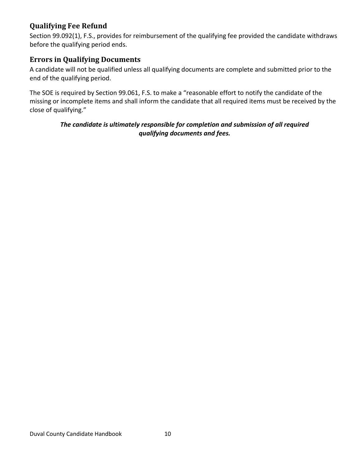### <span id="page-17-0"></span>**Qualifying Fee Refund**

Section 99.092(1), F.S., provides for reimbursement of the qualifying fee provided the candidate withdraws before the qualifying period ends.

#### <span id="page-17-1"></span>**Errors in Qualifying Documents**

A candidate will not be qualified unless all qualifying documents are complete and submitted prior to the end of the qualifying period.

The SOE is required by Section 99.061, F.S. to make a "reasonable effort to notify the candidate of the missing or incomplete items and shall inform the candidate that all required items must be received by the close of qualifying."

#### *The candidate is ultimately responsible for completion and submission of all required qualifying documents and fees.*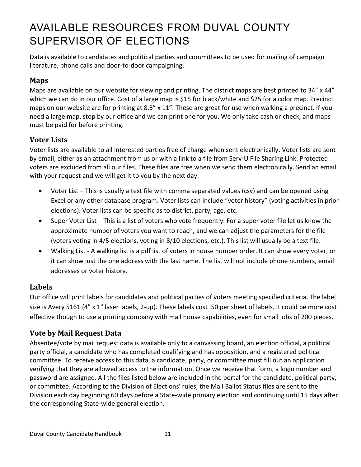# <span id="page-18-0"></span>AVAILABLE RESOURCES FROM DUVAL COUNTY SUPERVISOR OF ELECTIONS

Data is available to candidates and political parties and committees to be used for mailing of campaign literature, phone calls and door-to-door campaigning.

# <span id="page-18-1"></span>**Maps**

Maps are available on our website for viewing and printing. The district maps are best printed to 34" x 44" which we can do in our office. Cost of a large map is \$15 for black/white and \$25 for a color map. Precinct maps on our website are for printing at 8.5" x 11". These are great for use when walking a precinct. If you need a large map, stop by our office and we can print one for you. We only take cash or check, and maps must be paid for before printing.

### <span id="page-18-2"></span>**Voter Lists**

Voter lists are available to all interested parties free of charge when sent electronically. Voter lists are sent by email, either as an attachment from us or with a link to a file from Serv-U File Sharing Link. Protected voters are excluded from all our files. These files are free when we send them electronically. Send an email with your request and we will get it to you by the next day.

- Voter List This is usually a text file with comma separated values (csv) and can be opened using Excel or any other database program. Voter lists can include "voter history" (voting activities in prior elections). Voter lists can be specific as to district, party, age, etc.
- Super Voter List This is a list of voters who vote frequently. For a super voter file let us know the approximate number of voters you want to reach, and we can adjust the parameters for the file (voters voting in 4/5 elections, voting in 8/10 elections, etc.). This list will usually be a text file.
- Walking List A walking list is a pdf list of voters in house number order. It can show every voter, or it can show just the one address with the last name. The list will not include phone numbers, email addresses or voter history.

### <span id="page-18-3"></span>**Labels**

Our office will print labels for candidates and political parties of voters meeting specified criteria. The label size is Avery 5161 (4" x 1" laser labels, 2-up). These labels cost .50 per sheet of labels. It could be more cost effective though to use a printing company with mail house capabilities, even for small jobs of 200 pieces.

# <span id="page-18-4"></span>**Vote by Mail Request Data**

Absentee/vote by mail request data is available only to a canvassing board, an election official, a political party official, a candidate who has completed qualifying and has opposition, and a registered political committee. To receive access to this data, a candidate, party, or committee must fill out an application verifying that they are allowed access to the information. Once we receive that form, a login number and password are assigned. All the files listed below are included in the portal for the candidate, political party, or committee. According to the Division of Elections' rules, the Mail Ballot Status files are sent to the Division each day beginning 60 days before a State-wide primary election and continuing until 15 days after the corresponding State-wide general election.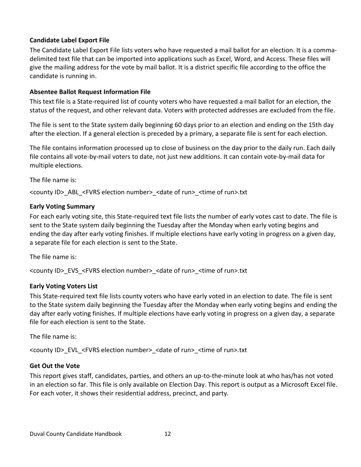#### **Candidate Label Export File**

The Candidate Label Export File lists voters who have requested a mail ballot for an election. It is a commadelimited text file that can be imported into applications such as Excel, Word, and Access. These files will give the mailing address for the vote by mail ballot. It is a district specific file according to the office the candidate is running in.

#### **Absentee Ballot Request Information File**

This text file is a State-required list of county voters who have requested a mail ballot for an election, the status of the request, and other relevant data. Voters with protected addresses are excluded from the file.

The file is sent to the State system daily beginning 60 days prior to an election and ending on the 15th day after the election. If a general election is preceded by a primary, a separate file is sent for each election.

The file contains information processed up to close of business on the day prior to the daily run. Each daily file contains all vote-by-mail voters to date, not just new additions. It can contain vote-by-mail data for multiple elections.

The file name is:

<county ID>\_ABL\_<FVRS election number>\_<date of run>\_<time of run>.txt

#### **Early Voting Summary**

For each early voting site, this State-required text file lists the number of early votes cast to date. The file is sent to the State system daily beginning the Tuesday after the Monday when early voting begins and ending the day after early voting finishes. If multiple elections have early voting in progress on a given day, a separate file for each election is sent to the State.

The file name is:

<county ID>\_EVS\_<FVRS election number>\_<date of run>\_<time of run>.txt

#### **Early Voting Voters List**

This State-required text file lists county voters who have early voted in an election to date. The file is sent to the State system daily beginning the Tuesday after the Monday when early voting begins and ending the day after early voting finishes. If multiple elections have early voting in progress on a given day, a separate file for each election is sent to the State.

The file name is:

<county ID>\_EVL\_<FVRS election number>\_<date of run>\_<time of run>.txt

#### **Get Out the Vote**

This report gives staff, candidates, parties, and others an up-to-the-minute look at who has/has not voted in an election so far. This file is only available on Election Day. This report is output as a Microsoft Excel file. For each voter, it shows their residential address, precinct, and party.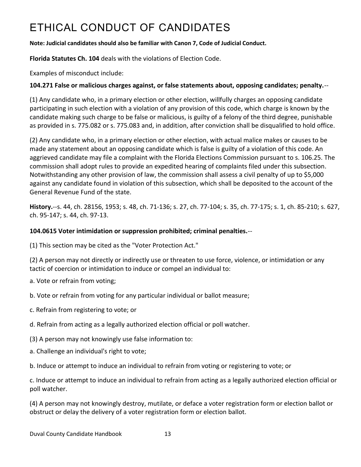# <span id="page-20-0"></span>ETHICAL CONDUCT OF CANDIDATES

#### **Note: Judicial candidates should also be familiar with Canon 7, Code of Judicial Conduct.**

**Florida Statutes Ch. 104** deals with the violations of Election Code.

Examples of misconduct include:

#### **104.271 False or malicious charges against, or false statements about, opposing candidates; penalty.**--

(1) Any candidate who, in a primary election or other election, willfully charges an opposing candidate participating in such election with a violation of any provision of this code, which charge is known by the candidate making such charge to be false or malicious, is guilty of a felony of the third degree, punishable as provided in s. 775.082 or s. 775.083 and, in addition, after conviction shall be disqualified to hold office.

(2) Any candidate who, in a primary election or other election, with actual malice makes or causes to be made any statement about an opposing candidate which is false is guilty of a violation of this code. An aggrieved candidate may file a complaint with the Florida Elections Commission pursuant to s. 106.25. The commission shall adopt rules to provide an expedited hearing of complaints filed under this subsection. Notwithstanding any other provision of law, the commission shall assess a civil penalty of up to \$5,000 against any candidate found in violation of this subsection, which shall be deposited to the account of the General Revenue Fund of the state.

**History.**--s. 44, ch. 28156, 1953; s. 48, ch. 71-136; s. 27, ch. 77-104; s. 35, ch. 77-175; s. 1, ch. 85-210; s. 627, ch. 95-147; s. 44, ch. 97-13.

#### **104.0615 Voter intimidation or suppression prohibited; criminal penalties.**--

(1) This section may be cited as the "Voter Protection Act."

(2) A person may not directly or indirectly use or threaten to use force, violence, or intimidation or any tactic of coercion or intimidation to induce or compel an individual to:

a. Vote or refrain from voting;

b. Vote or refrain from voting for any particular individual or ballot measure;

- c. Refrain from registering to vote; or
- d. Refrain from acting as a legally authorized election official or poll watcher.
- (3) A person may not knowingly use false information to:
- a. Challenge an individual's right to vote;
- b. Induce or attempt to induce an individual to refrain from voting or registering to vote; or

c. Induce or attempt to induce an individual to refrain from acting as a legally authorized election official or poll watcher.

(4) A person may not knowingly destroy, mutilate, or deface a voter registration form or election ballot or obstruct or delay the delivery of a voter registration form or election ballot.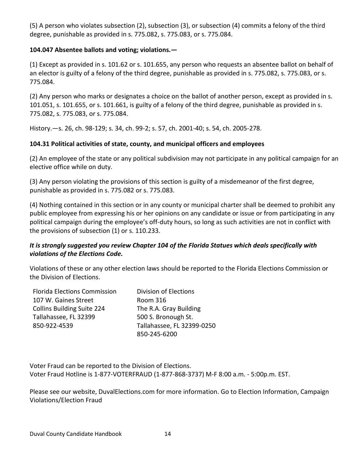(5) A person who violates subsection (2), subsection (3), or subsection (4) commits a felony of the third degree, punishable as provided in s. 775.082, s. 775.083, or s. 775.084.

#### **104.047 Absentee ballots and voting; violations.—**

(1) Except as provided in s. 101.62 or s. 101.655, any person who requests an absentee ballot on behalf of an elector is guilty of a felony of the third degree, punishable as provided in s. 775.082, s. 775.083, or s. 775.084.

(2) Any person who marks or designates a choice on the ballot of another person, except as provided in s. 101.051, s. 101.655, or s. 101.661, is guilty of a felony of the third degree, punishable as provided in s. 775.082, s. 775.083, or s. 775.084.

History.—s. 26, ch. 98-129; s. 34, ch. 99-2; s. 57, ch. 2001-40; s. 54, ch. 2005-278.

#### **104.31 Political activities of state, county, and municipal officers and employees**

(2) An employee of the state or any political subdivision may not participate in any political campaign for an elective office while on duty.

(3) Any person violating the provisions of this section is guilty of a misdemeanor of the first degree, punishable as provided in s. 775.082 or s. 775.083.

(4) Nothing contained in this section or in any county or municipal charter shall be deemed to prohibit any public employee from expressing his or her opinions on any candidate or issue or from participating in any political campaign during the employee's off-duty hours, so long as such activities are not in conflict with the provisions of subsection (1) or s. 110.233.

#### *It is strongly suggested you review Chapter 104 of the Florida Statues which deals specifically with violations of the Elections Code.*

Violations of these or any other election laws should be reported to the Florida Elections Commission or the Division of Elections.

| <b>Florida Elections Commission</b> | Division of Elections      |
|-------------------------------------|----------------------------|
| 107 W. Gaines Street                | Room 316                   |
| <b>Collins Building Suite 224</b>   | The R.A. Gray Building     |
| Tallahassee, FL 32399               | 500 S. Bronough St.        |
| 850-922-4539                        | Tallahassee, FL 32399-0250 |
|                                     | 850-245-6200               |

Voter Fraud can be reported to the Division of Elections. Voter Fraud Hotline is 1-877-VOTERFRAUD (1-877-868-3737) M-F 8:00 a.m. - 5:00p.m. EST.

Please see our website, DuvalElections.com for more information. Go to Election Information, Campaign Violations/Election Fraud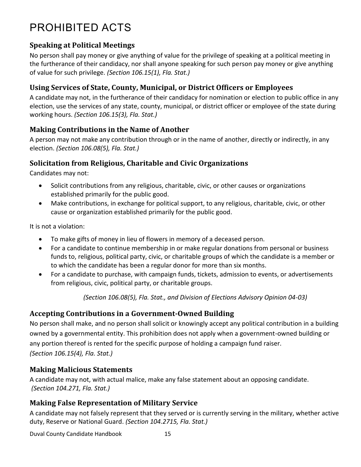# <span id="page-22-0"></span>PROHIBITED ACTS

### <span id="page-22-1"></span>**Speaking at Political Meetings**

No person shall pay money or give anything of value for the privilege of speaking at a political meeting in the furtherance of their candidacy, nor shall anyone speaking for such person pay money or give anything of value for such privilege. *(Section 106.15(1), Fla. Stat.)*

#### <span id="page-22-2"></span>**Using Services of State, County, Municipal, or District Officers or Employees**

A candidate may not, in the furtherance of their candidacy for nomination or election to public office in any election, use the services of any state, county, municipal, or district officer or employee of the state during working hours. *(Section 106.15(3), Fla. Stat.)*

#### <span id="page-22-3"></span>**Making Contributions in the Name of Another**

A person may not make any contribution through or in the name of another, directly or indirectly, in any election. *(Section 106.08(5), Fla. Stat.)*

### <span id="page-22-4"></span>**Solicitation from Religious, Charitable and Civic Organizations**

Candidates may not:

- Solicit contributions from any religious, charitable, civic, or other causes or organizations established primarily for the public good.
- Make contributions, in exchange for political support, to any religious, charitable, civic, or other cause or organization established primarily for the public good.

It is not a violation:

- To make gifts of money in lieu of flowers in memory of a deceased person.
- For a candidate to continue membership in or make regular donations from personal or business funds to, religious, political party, civic, or charitable groups of which the candidate is a member or to which the candidate has been a regular donor for more than six months.
- For a candidate to purchase, with campaign funds, tickets, admission to events, or advertisements from religious, civic, political party, or charitable groups.

*(Section 106.08(5), Fla. Stat., and Division of Elections Advisory Opinion 04-03)*

### <span id="page-22-5"></span>**Accepting Contributions in a Government-Owned Building**

No person shall make, and no person shall solicit or knowingly accept any political contribution in a building owned by a governmental entity. This prohibition does not apply when a government-owned building or any portion thereof is rented for the specific purpose of holding a campaign fund raiser. *(Section 106.15(4), Fla. Stat.)*

#### <span id="page-22-6"></span>**Making Malicious Statements**

A candidate may not, with actual malice, make any false statement about an opposing candidate. *(Section 104.271, Fla. Stat.)*

#### <span id="page-22-7"></span>**Making False Representation of Military Service**

A candidate may not falsely represent that they served or is currently serving in the military, whether active duty, Reserve or National Guard. *(Section 104.2715, Fla. Stat.)*

Duval County Candidate Handbook 15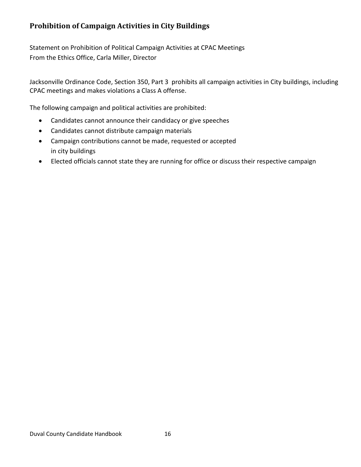### <span id="page-23-0"></span>**Prohibition of Campaign Activities in City Buildings**

Statement on Prohibition of Political Campaign Activities at CPAC Meetings From the Ethics Office, Carla Miller, Director

Jacksonville Ordinance Code, Section 350, Part 3 prohibits all campaign activities in City buildings, including CPAC meetings and makes violations a Class A offense.

The following campaign and political activities are prohibited:

- Candidates cannot announce their candidacy or give speeches
- Candidates cannot distribute campaign materials
- Campaign contributions cannot be made, requested or accepted in city buildings
- Elected officials cannot state they are running for office or discuss their respective campaign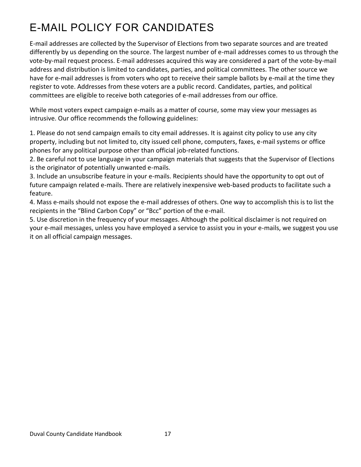# <span id="page-24-0"></span>E-MAIL POLICY FOR CANDIDATES

E-mail addresses are collected by the Supervisor of Elections from two separate sources and are treated differently by us depending on the source. The largest number of e-mail addresses comes to us through the vote-by-mail request process. E-mail addresses acquired this way are considered a part of the vote-by-mail address and distribution is limited to candidates, parties, and political committees. The other source we have for e-mail addresses is from voters who opt to receive their sample ballots by e-mail at the time they register to vote. Addresses from these voters are a public record. Candidates, parties, and political committees are eligible to receive both categories of e-mail addresses from our office.

While most voters expect campaign e-mails as a matter of course, some may view your messages as intrusive. Our office recommends the following guidelines:

1. Please do not send campaign emails to city email addresses. It is against city policy to use any city property, including but not limited to, city issued cell phone, computers, faxes, e-mail systems or office phones for any political purpose other than official job-related functions.

2. Be careful not to use language in your campaign materials that suggests that the Supervisor of Elections is the originator of potentially unwanted e-mails.

3. Include an unsubscribe feature in your e-mails. Recipients should have the opportunity to opt out of future campaign related e-mails. There are relatively inexpensive web-based products to facilitate such a feature.

4. Mass e-mails should not expose the e-mail addresses of others. One way to accomplish this is to list the recipients in the "Blind Carbon Copy" or "Bcc" portion of the e-mail.

5. Use discretion in the frequency of your messages. Although the political disclaimer is not required on your e-mail messages, unless you have employed a service to assist you in your e-mails, we suggest you use it on all official campaign messages.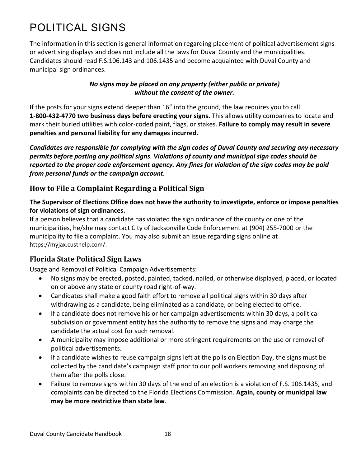# <span id="page-25-0"></span>POLITICAL SIGNS

The information in this section is general information regarding placement of political advertisement signs or advertising displays and does not include all the laws for Duval County and the municipalities. Candidates should read F.S.106.143 and 106.1435 and become acquainted with Duval County and municipal sign ordinances.

#### *No signs may be placed on any property (either public or private) without the consent of the owner.*

If the posts for your signs extend deeper than 16" into the ground, the law requires you to call **1-800-432-4770 two business days before erecting your signs.** This allows utility companies to locate and mark their buried utilities with color-coded paint, flags, or stakes. **Failure to comply may result in severe penalties and personal liability for any damages incurred.**

*Candidates are responsible for complying with the sign codes of Duval County and securing any necessary permits before posting any political signs. Violations of county and municipal sign codes should be reported to the proper code enforcement agency. Any fines for violation of the sign codes may be paid from personal funds or the campaign account.*

### <span id="page-25-1"></span>**How to File a Complaint Regarding a Political Sign**

#### **The Supervisor of Elections Office does not have the authority to investigate, enforce or impose penalties for violations of sign ordinances.**

If a person believes that a candidate has violated the sign ordinance of the county or one of the municipalities, he/she may contact City of Jacksonville Code Enforcement at (904) 255-7000 or the municipality to file a complaint. You may also submit an issue regarding signs online at https://myjax.custhelp.com/.

# <span id="page-25-2"></span>**Florida State Political Sign Laws**

Usage and Removal of Political Campaign Advertisements:

- No signs may be erected, posted, painted, tacked, nailed, or otherwise displayed, placed, or located on or above any state or county road right-of-way.
- Candidates shall make a good faith effort to remove all political signs within 30 days after withdrawing as a candidate, being eliminated as a candidate, or being elected to office.
- If a candidate does not remove his or her campaign advertisements within 30 days, a political subdivision or government entity has the authority to remove the signs and may charge the candidate the actual cost for such removal.
- A municipality may impose additional or more stringent requirements on the use or removal of political advertisements.
- If a candidate wishes to reuse campaign signs left at the polls on Election Day, the signs must be collected by the candidate's campaign staff prior to our poll workers removing and disposing of them after the polls close.
- Failure to remove signs within 30 days of the end of an election is a violation of F.S. 106.1435, and complaints can be directed to the Florida Elections Commission. **Again, county or municipal law may be more restrictive than state law**.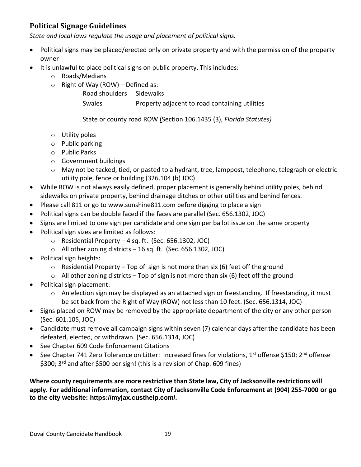# <span id="page-26-0"></span>**Political Signage Guidelines**

*State and local laws regulate the usage and placement of political signs.*

- Political signs may be placed/erected only on private property and with the permission of the property owner
- It is unlawful to place political signs on public property. This includes:
	- o Roads/Medians
	- $\circ$  Right of Way (ROW) Defined as:
		- Road shoulders Sidewalks

Swales **Property adjacent to road containing utilities** 

State or county road ROW (Section 106.1435 (3), *Florida Statutes)*

- o Utility poles
- o Public parking
- o Public Parks
- o Government buildings
- $\circ$  May not be tacked, tied, or pasted to a hydrant, tree, lamppost, telephone, telegraph or electric utility pole, fence or building (326.104 (b) JOC)
- While ROW is not always easily defined, proper placement is generally behind utility poles, behind sidewalks on private property, behind drainage ditches or other utilities and behind fences.
- Please call 811 or go to www.sunshine811.com before digging to place a sign
- Political signs can be double faced if the faces are parallel (Sec. 656.1302, JOC)
- Signs are limited to one sign per candidate and one sign per ballot issue on the same property
- Political sign sizes are limited as follows:
	- o Residential Property 4 sq. ft. (Sec. 656.1302, JOC)
	- o All other zoning districts 16 sq. ft. (Sec. 656.1302, JOC)
- Political sign heights:
	- $\circ$  Residential Property Top of sign is not more than six (6) feet off the ground
	- $\circ$  All other zoning districts Top of sign is not more than six (6) feet off the ground
- Political sign placement:
	- o An election sign may be displayed as an attached sign or freestanding. If freestanding, it must be set back from the Right of Way (ROW) not less than 10 feet. (Sec. 656.1314, JOC)
- Signs placed on ROW may be removed by the appropriate department of the city or any other person (Sec. 601.105, JOC)
- Candidate must remove all campaign signs within seven (7) calendar days after the candidate has been defeated, elected, or withdrawn. (Sec. 656.1314, JOC)
- See Chapter 609 Code Enforcement Citations
- See Chapter 741 Zero Tolerance on Litter: Increased fines for violations, 1<sup>st</sup> offense \$150; 2<sup>nd</sup> offense \$300; 3<sup>rd</sup> and after \$500 per sign! (this is a revision of Chap. 609 fines)

**Where county requirements are more restrictive than State law, City of Jacksonville restrictions will apply. For additional information, contact City of Jacksonville Code Enforcement at (904) 255-7000 or go to the city website: https://myjax.custhelp.com/.**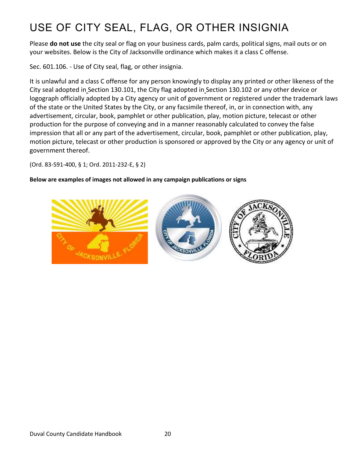# <span id="page-27-0"></span>USE OF CITY SEAL, FLAG, OR OTHER INSIGNIA

Please **do not use** the city seal or flag on your business cards, palm cards, political signs, mail outs or on your websites. Below is the City of Jacksonville ordinance which makes it a class C offense.

Sec. 601.106. - Use of City seal, flag, or other insignia.

It is unlawful and a class C offense for any person knowingly to display any printed or other likeness of the City seal adopted in Section 130.101, the City flag adopted in Section 130.102 or any other device or logograph officially adopted by a City agency or unit of government or registered under the trademark laws of the state or the United States by the City, or any facsimile thereof, in, or in connection with, any advertisement, circular, book, pamphlet or other publication, play, motion picture, telecast or other production for the purpose of conveying and in a manner reasonably calculated to convey the false impression that all or any part of the advertisement, circular, book, pamphlet or other publication, play, motion picture, telecast or other production is sponsored or approved by the City or any agency or unit of government thereof.

(Ord. 83-591-400, § 1; Ord. 2011-232-E, § 2)

#### **Below are examples of images not allowed in any campaign publications or signs**

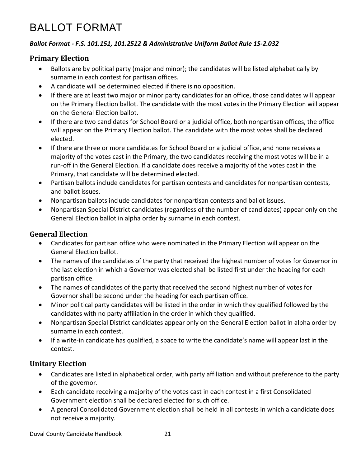# <span id="page-28-0"></span>BALLOT FORMAT

#### *Ballot Format - F.S. 101.151, 101.2512 & Administrative Uniform Ballot Rule 1S-2.032*

#### <span id="page-28-1"></span>**Primary Election**

- Ballots are by political party (major and minor); the candidates will be listed alphabetically by surname in each contest for partisan offices.
- A candidate will be determined elected if there is no opposition.
- If there are at least two major or minor party candidates for an office, those candidates will appear on the Primary Election ballot. The candidate with the most votes in the Primary Election will appear on the General Election ballot.
- If there are two candidates for School Board or a judicial office, both nonpartisan offices, the office will appear on the Primary Election ballot. The candidate with the most votes shall be declared elected.
- If there are three or more candidates for School Board or a judicial office, and none receives a majority of the votes cast in the Primary, the two candidates receiving the most votes will be in a run-off in the General Election. If a candidate does receive a majority of the votes cast in the Primary, that candidate will be determined elected.
- Partisan ballots include candidates for partisan contests and candidates for nonpartisan contests, and ballot issues.
- Nonpartisan ballots include candidates for nonpartisan contests and ballot issues.
- Nonpartisan Special District candidates (regardless of the number of candidates) appear only on the General Election ballot in alpha order by surname in each contest.

#### <span id="page-28-2"></span>**General Election**

- Candidates for partisan office who were nominated in the Primary Election will appear on the General Election ballot.
- The names of the candidates of the party that received the highest number of votes for Governor in the last election in which a Governor was elected shall be listed first under the heading for each partisan office.
- The names of candidates of the party that received the second highest number of votes for Governor shall be second under the heading for each partisan office.
- Minor political party candidates will be listed in the order in which they qualified followed by the candidates with no party affiliation in the order in which they qualified.
- Nonpartisan Special District candidates appear only on the General Election ballot in alpha order by surname in each contest.
- If a write-in candidate has qualified, a space to write the candidate's name will appear last in the contest.

### <span id="page-28-3"></span>**Unitary Election**

- Candidates are listed in alphabetical order, with party affiliation and without preference to the party of the governor.
- Each candidate receiving a majority of the votes cast in each contest in a first Consolidated Government election shall be declared elected for such office.
- A general Consolidated Government election shall be held in all contests in which a candidate does not receive a majority.

Duval County Candidate Handbook 21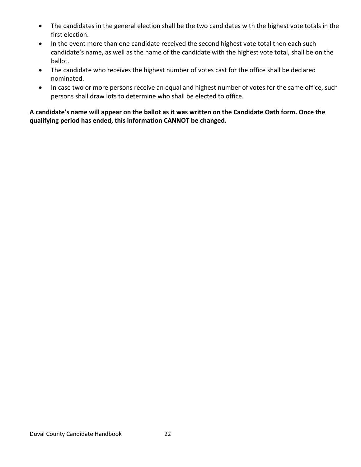- The candidates in the general election shall be the two candidates with the highest vote totals in the first election.
- In the event more than one candidate received the second highest vote total then each such candidate's name, as well as the name of the candidate with the highest vote total, shall be on the ballot.
- The candidate who receives the highest number of votes cast for the office shall be declared nominated.
- In case two or more persons receive an equal and highest number of votes for the same office, such persons shall draw lots to determine who shall be elected to office.

#### **A candidate's name will appear on the ballot as it was written on the Candidate Oath form. Once the qualifying period has ended, this information CANNOT be changed.**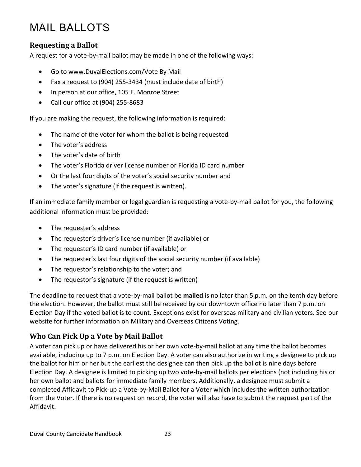# <span id="page-30-0"></span>MAIL BALLOTS

#### <span id="page-30-1"></span>**Requesting a Ballot**

A request for a vote-by-mail ballot may be made in one of the following ways:

- Go to www.DuvalElections.com/Vote By Mail
- Fax a request to (904) 255-3434 (must include date of birth)
- In person at our office, 105 E. Monroe Street
- Call our office at (904) 255-8683

If you are making the request, the following information is required:

- The name of the voter for whom the ballot is being requested
- The voter's address
- The voter's date of birth
- The voter's Florida driver license number or Florida ID card number
- Or the last four digits of the voter's social security number and
- The voter's signature (if the request is written).

If an immediate family member or legal guardian is requesting a vote-by-mail ballot for you, the following additional information must be provided:

- The requester's address
- The requester's driver's license number (if available) or
- The requester's ID card number (if available) or
- The requester's last four digits of the social security number (if available)
- The requestor's relationship to the voter; and
- The requestor's signature (if the request is written)

The deadline to request that a vote-by-mail ballot be **mailed** is no later than 5 p.m. on the tenth day before the election. However, the ballot must still be received by our downtown office no later than 7 p.m. on Election Day if the voted ballot is to count. Exceptions exist for overseas military and civilian voters. See our website for further information on Military and Overseas Citizens Voting.

### <span id="page-30-2"></span>**Who Can Pick Up a Vote by Mail Ballot**

A voter can pick up or have delivered his or her own vote-by-mail ballot at any time the ballot becomes available, including up to 7 p.m. on Election Day. A voter can also authorize in writing a designee to pick up the ballot for him or her but the earliest the designee can then pick up the ballot is nine days before Election Day. A designee is limited to picking up two vote-by-mail ballots per elections (not including his or her own ballot and ballots for immediate family members. Additionally, a designee must submit a completed Affidavit to Pick-up a Vote-by-Mail Ballot for a Voter which includes the written authorization from the Voter. If there is no request on record, the voter will also have to submit the request part of the Affidavit.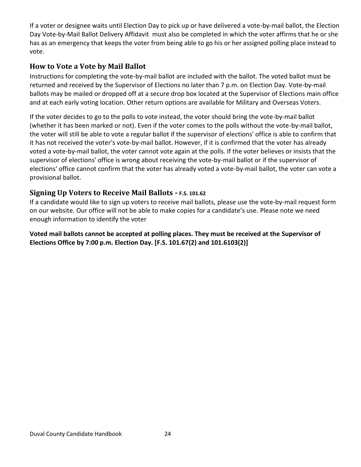If a voter or designee waits until Election Day to pick up or have delivered a vote-by-mail ballot, the Election Day Vote-by-Mail Ballot Delivery Affidavit must also be completed in which the voter affirms that he or she has as an emergency that keeps the voter from being able to go his or her assigned polling place instead to vote.

#### <span id="page-31-0"></span>**How to Vote a Vote by Mail Ballot**

Instructions for completing the vote-by-mail ballot are included with the ballot. The voted ballot must be returned and received by the Supervisor of Elections no later than 7 p.m. on Election Day. Vote-by-mail ballots may be mailed or dropped off at a secure drop box located at the Supervisor of Elections main office and at each early voting location. Other return options are available for Military and Overseas Voters.

If the voter decides to go to the polls to vote instead, the voter should bring the vote-by-mail ballot (whether it has been marked or not). Even if the voter comes to the polls without the vote-by-mail ballot, the voter will still be able to vote a regular ballot if the supervisor of elections' office is able to confirm that it has not received the voter's vote-by-mail ballot. However, if it is confirmed that the voter has already voted a vote-by-mail ballot, the voter cannot vote again at the polls. If the voter believes or insists that the supervisor of elections' office is wrong about receiving the vote-by-mail ballot or if the supervisor of elections' office cannot confirm that the voter has already voted a vote-by-mail ballot, the voter can vote a provisional ballot.

#### <span id="page-31-1"></span>**Signing Up Voters to Receive Mail Ballots** *-* **F.S. 101.62**

If a candidate would like to sign up voters to receive mail ballots, please use the vote-by-mail request form on our website. Our office will not be able to make copies for a candidate's use. Please note we need enough information to identify the voter

**Voted mail ballots cannot be accepted at polling places. They must be received at the Supervisor of Elections Office by 7:00 p.m. Election Day. [F.S. 101.67(2) and 101.6103(2)]**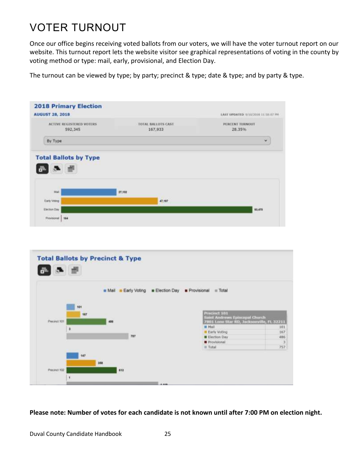# <span id="page-32-0"></span>VOTER TURNOUT

Once our office begins receiving voted ballots from our voters, we will have the voter turnout report on our website. This turnout report lets the website visitor see graphical representations of voting in the county by voting method or type: mail, early, provisional, and Election Day.

The turnout can be viewed by type; by party; precinct & type; date & type; and by party & type.

| TOTAL BALLOTS CAST<br>167,933 | PERCENT TURNOUT<br>28.35%<br>v |
|-------------------------------|--------------------------------|
|                               |                                |
|                               |                                |
|                               |                                |
|                               |                                |
|                               |                                |
|                               |                                |
| 47,197                        |                                |
|                               | 93,470                         |
|                               |                                |



**Please note: Number of votes for each candidate is not known until after 7:00 PM on election night.**

Duval County Candidate Handbook 25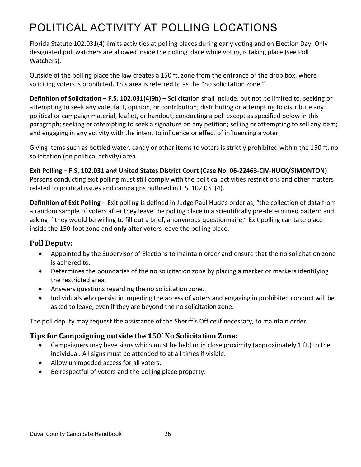# <span id="page-33-0"></span>POLITICAL ACTIVITY AT POLLING LOCATIONS

Florida Statute 102.031(4) limits activities at polling places during early voting and on Election Day. Only designated poll watchers are allowed inside the polling place while voting is taking place (see Poll Watchers).

Outside of the polling place the law creates a 150 ft. zone from the entrance or the drop box, where soliciting voters is prohibited. This area is referred to as the "no solicitation zone."

**Definition of Solicitation – F.S. 102.031(4)9b)** – Solicitation shall include, but not be limited to, seeking or attempting to seek any vote, fact, opinion, or contribution; distributing or attempting to distribute any political or campaign material, leaflet, or handout; conducting a poll except as specified below in this paragraph; seeking or attempting to seek a signature on any petition; selling or attempting to sell any item; and engaging in any activity with the intent to influence or effect of influencing a voter.

Giving items such as bottled water, candy or other items to voters is strictly prohibited within the 150 ft. no solicitation (no political activity) area.

**Exit Polling – F.S. 102.031 and United States District Court (Case No. 06-22463-CIV-HUCK/SIMONTON)** Persons conducting exit polling must still comply with the political activities restrictions and other matters related to political issues and campaigns outlined in F.S. 102.031(4).

**Definition of Exit Polling** – Exit polling is defined in Judge Paul Huck's order as, "the collection of data from a random sample of voters after they leave the polling place in a scientifically pre-determined pattern and asking if they would be willing to fill out a brief, anonymous questionnaire." Exit polling can take place inside the 150-foot zone and **only** after voters leave the polling place.

### <span id="page-33-1"></span>**Poll Deputy:**

- Appointed by the Supervisor of Elections to maintain order and ensure that the no solicitation zone is adhered to.
- Determines the boundaries of the no solicitation zone by placing a marker or markers identifying the restricted area.
- Answers questions regarding the no solicitation zone.
- Individuals who persist in impeding the access of voters and engaging in prohibited conduct will be asked to leave, even if they are beyond the no solicitation zone.

The poll deputy may request the assistance of the Sheriff's Office if necessary, to maintain order.

### <span id="page-33-2"></span>**Tips for Campaigning outside the 150' No Solicitation Zone:**

- Campaigners may have signs which must be held or in close proximity (approximately 1 ft.) to the individual. All signs must be attended to at all times if visible.
- Allow unimpeded access for all voters.
- Be respectful of voters and the polling place property.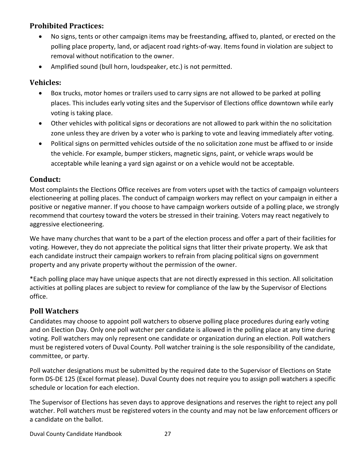### <span id="page-34-0"></span>**Prohibited Practices:**

- No signs, tents or other campaign items may be freestanding, affixed to, planted, or erected on the polling place property, land, or adjacent road rights-of-way. Items found in violation are subject to removal without notification to the owner.
- Amplified sound (bull horn, loudspeaker, etc.) is not permitted.

### <span id="page-34-1"></span>**Vehicles:**

- Box trucks, motor homes or trailers used to carry signs are not allowed to be parked at polling places. This includes early voting sites and the Supervisor of Elections office downtown while early voting is taking place.
- Other vehicles with political signs or decorations are not allowed to park within the no solicitation zone unless they are driven by a voter who is parking to vote and leaving immediately after voting.
- Political signs on permitted vehicles outside of the no solicitation zone must be affixed to or inside the vehicle. For example, bumper stickers, magnetic signs, paint, or vehicle wraps would be acceptable while leaning a yard sign against or on a vehicle would not be acceptable.

### <span id="page-34-2"></span>**Conduct:**

Most complaints the Elections Office receives are from voters upset with the tactics of campaign volunteers electioneering at polling places. The conduct of campaign workers may reflect on your campaign in either a positive or negative manner. If you choose to have campaign workers outside of a polling place, we strongly recommend that courtesy toward the voters be stressed in their training. Voters may react negatively to aggressive electioneering.

We have many churches that want to be a part of the election process and offer a part of their facilities for voting. However, they do not appreciate the political signs that litter their private property. We ask that each candidate instruct their campaign workers to refrain from placing political signs on government property and any private property without the permission of the owner.

\*Each polling place may have unique aspects that are not directly expressed in this section. All solicitation activities at polling places are subject to review for compliance of the law by the Supervisor of Elections office.

### <span id="page-34-3"></span>**Poll Watchers**

Candidates may choose to appoint poll watchers to observe polling place procedures during early voting and on Election Day. Only one poll watcher per candidate is allowed in the polling place at any time during voting. Poll watchers may only represent one candidate or organization during an election. Poll watchers must be registered voters of Duval County. Poll watcher training is the sole responsibility of the candidate, committee, or party.

Poll watcher designations must be submitted by the required date to the Supervisor of Elections on State form DS-DE 125 (Excel format please). Duval County does not require you to assign poll watchers a specific schedule or location for each election.

The Supervisor of Elections has seven days to approve designations and reserves the right to reject any poll watcher. Poll watchers must be registered voters in the county and may not be law enforcement officers or a candidate on the ballot.

Duval County Candidate Handbook 27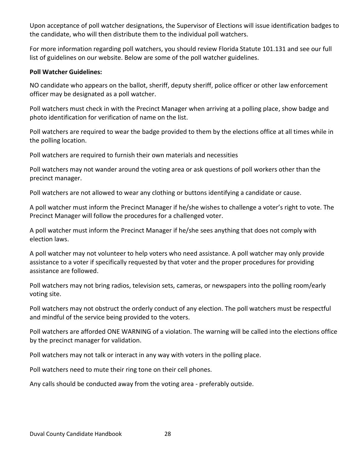Upon acceptance of poll watcher designations, the Supervisor of Elections will issue identification badges to the candidate, who will then distribute them to the individual poll watchers.

For more information regarding poll watchers, you should review Florida Statute 101.131 and see our full list of guidelines on our website. Below are some of the poll watcher guidelines.

#### **Poll Watcher Guidelines:**

NO candidate who appears on the ballot, sheriff, deputy sheriff, police officer or other law enforcement officer may be designated as a poll watcher.

Poll watchers must check in with the Precinct Manager when arriving at a polling place, show badge and photo identification for verification of name on the list.

Poll watchers are required to wear the badge provided to them by the elections office at all times while in the polling location.

Poll watchers are required to furnish their own materials and necessities

Poll watchers may not wander around the voting area or ask questions of poll workers other than the precinct manager.

Poll watchers are not allowed to wear any clothing or buttons identifying a candidate or cause.

A poll watcher must inform the Precinct Manager if he/she wishes to challenge a voter's right to vote. The Precinct Manager will follow the procedures for a challenged voter.

A poll watcher must inform the Precinct Manager if he/she sees anything that does not comply with election laws.

A poll watcher may not volunteer to help voters who need assistance. A poll watcher may only provide assistance to a voter if specifically requested by that voter and the proper procedures for providing assistance are followed.

Poll watchers may not bring radios, television sets, cameras, or newspapers into the polling room/early voting site.

Poll watchers may not obstruct the orderly conduct of any election. The poll watchers must be respectful and mindful of the service being provided to the voters.

Poll watchers are afforded ONE WARNING of a violation. The warning will be called into the elections office by the precinct manager for validation.

Poll watchers may not talk or interact in any way with voters in the polling place.

Poll watchers need to mute their ring tone on their cell phones.

Any calls should be conducted away from the voting area - preferably outside.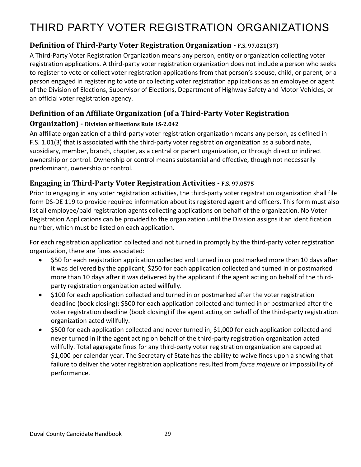# <span id="page-36-0"></span>THIRD PARTY VOTER REGISTRATION ORGANIZATIONS

# <span id="page-36-1"></span>**Definition of Third-Party Voter Registration Organization - F.S. 97.021(37)**

A Third-Party Voter Registration Organization means any person, entity or organization collecting voter registration applications. A third-party voter registration organization does not include a person who seeks to register to vote or collect voter registration applications from that person's spouse, child, or parent, or a person engaged in registering to vote or collecting voter registration applications as an employee or agent of the Division of Elections, Supervisor of Elections, Department of Highway Safety and Motor Vehicles, or an official voter registration agency.

# <span id="page-36-2"></span>**Definition of an Affiliate Organization (of a Third-Party Voter Registration**

#### **Organization) - Division of Elections Rule 1S-2.042**

An affiliate organization of a third-party voter registration organization means any person, as defined in F.S. 1.01(3) that is associated with the third-party voter registration organization as a subordinate, subsidiary, member, branch, chapter, as a central or parent organization, or through direct or indirect ownership or control. Ownership or control means substantial and effective, though not necessarily predominant, ownership or control.

#### <span id="page-36-3"></span>**Engaging in Third-Party Voter Registration Activities - F.S. 97.0575**

Prior to engaging in any voter registration activities, the third-party voter registration organization shall file form DS-DE 119 to provide required information about its registered agent and officers. This form must also list all employee/paid registration agents collecting applications on behalf of the organization. No Voter Registration Applications can be provided to the organization until the Division assigns it an identification number, which must be listed on each application.

For each registration application collected and not turned in promptly by the third-party voter registration organization, there are fines associated:

- \$50 for each registration application collected and turned in or postmarked more than 10 days after it was delivered by the applicant; \$250 for each application collected and turned in or postmarked more than 10 days after it was delivered by the applicant if the agent acting on behalf of the thirdparty registration organization acted willfully.
- \$100 for each application collected and turned in or postmarked after the voter registration deadline (book closing); \$500 for each application collected and turned in or postmarked after the voter registration deadline (book closing) if the agent acting on behalf of the third-party registration organization acted willfully.
- \$500 for each application collected and never turned in; \$1,000 for each application collected and never turned in if the agent acting on behalf of the third-party registration organization acted willfully. Total aggregate fines for any third-party voter registration organization are capped at \$1,000 per calendar year. The Secretary of State has the ability to waive fines upon a showing that failure to deliver the voter registration applications resulted from *force majeure* or impossibility of performance.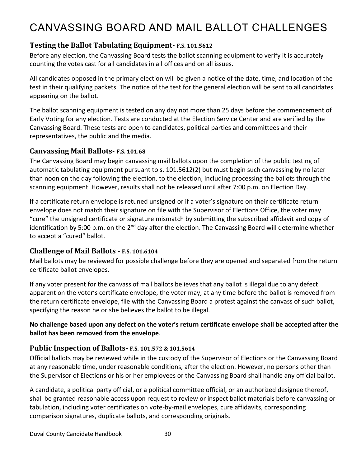# <span id="page-37-0"></span>CANVASSING BOARD AND MAIL BALLOT CHALLENGES

### <span id="page-37-1"></span>**Testing the Ballot Tabulating Equipment- F.S. 101.5612**

Before any election, the Canvassing Board tests the ballot scanning equipment to verify it is accurately counting the votes cast for all candidates in all offices and on all issues.

All candidates opposed in the primary election will be given a notice of the date, time, and location of the test in their qualifying packets. The notice of the test for the general election will be sent to all candidates appearing on the ballot.

The ballot scanning equipment is tested on any day not more than 25 days before the commencement of Early Voting for any election. Tests are conducted at the Election Service Center and are verified by the Canvassing Board. These tests are open to candidates, political parties and committees and their representatives, the public and the media.

#### <span id="page-37-2"></span>**Canvassing Mail Ballots- F.S. 101.68**

The Canvassing Board may begin canvassing mail ballots upon the completion of the public testing of automatic tabulating equipment pursuant to s. 101.5612(2) but must begin such canvassing by no later than noon on the day following the election. to the election, including processing the ballots through the scanning equipment. However, results shall not be released until after 7:00 p.m. on Election Day.

If a certificate return envelope is retuned unsigned or if a voter's signature on their certificate return envelope does not match their signature on file with the Supervisor of Elections Office, the voter may "cure" the unsigned certificate or signature mismatch by submitting the subscribed affidavit and copy of identification by 5:00 p.m. on the 2<sup>nd</sup> day after the election. The Canvassing Board will determine whether to accept a "cured" ballot.

#### <span id="page-37-3"></span>**Challenge of Mail Ballots - F.S. 101.6104**

Mail ballots may be reviewed for possible challenge before they are opened and separated from the return certificate ballot envelopes.

If any voter present for the canvass of mail ballots believes that any ballot is illegal due to any defect apparent on the voter's certificate envelope, the voter may, at any time before the ballot is removed from the return certificate envelope, file with the Canvassing Board a protest against the canvass of such ballot, specifying the reason he or she believes the ballot to be illegal.

#### **No challenge based upon any defect on the voter's return certificate envelope shall be accepted after the ballot has been removed from the envelope**.

#### <span id="page-37-4"></span>**Public Inspection of Ballots- F.S. 101.572 & 101.5614**

Official ballots may be reviewed while in the custody of the Supervisor of Elections or the Canvassing Board at any reasonable time, under reasonable conditions, after the election. However, no persons other than the Supervisor of Elections or his or her employees or the Canvassing Board shall handle any official ballot.

A candidate, a political party official, or a political committee official, or an authorized designee thereof, shall be granted reasonable access upon request to review or inspect ballot materials before canvassing or tabulation, including voter certificates on vote-by-mail envelopes, cure affidavits, corresponding comparison signatures, duplicate ballots, and corresponding originals.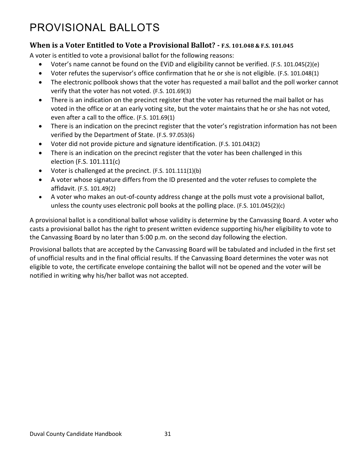# <span id="page-38-0"></span>PROVISIONAL BALLOTS

#### <span id="page-38-1"></span>**When is a Voter Entitled to Vote a Provisional Ballot? - F.S. 101.048 & F.S. 101.045**

A voter is entitled to vote a provisional ballot for the following reasons:

- Voter's name cannot be found on the EViD and eligibility cannot be verified. (F.S. 101.045(2)(e)
- Voter refutes the supervisor's office confirmation that he or she is not eligible. (F.S. 101.048(1)
- The electronic pollbook shows that the voter has requested a mail ballot and the poll worker cannot verify that the voter has not voted. (F.S. 101.69(3)
- There is an indication on the precinct register that the voter has returned the mail ballot or has voted in the office or at an early voting site, but the voter maintains that he or she has not voted, even after a call to the office. (F.S. 101.69(1)
- There is an indication on the precinct register that the voter's registration information has not been verified by the Department of State. (F.S. 97.053(6)
- Voter did not provide picture and signature identification. (F.S. 101.043(2)
- There is an indication on the precinct register that the voter has been challenged in this election (F.S. 101.111(c)
- Voter is challenged at the precinct. (F.S. 101.111(1)(b)
- A voter whose signature differs from the ID presented and the voter refuses to complete the affidavit. (F.S. 101.49(2)
- A voter who makes an out-of-county address change at the polls must vote a provisional ballot, unless the county uses electronic poll books at the polling place. (F.S. 101.045(2)(c)

A provisional ballot is a conditional ballot whose validity is determine by the Canvassing Board. A voter who casts a provisional ballot has the right to present written evidence supporting his/her eligibility to vote to the Canvassing Board by no later than 5:00 p.m. on the second day following the election.

Provisional ballots that are accepted by the Canvassing Board will be tabulated and included in the first set of unofficial results and in the final official results. If the Canvassing Board determines the voter was not eligible to vote, the certificate envelope containing the ballot will not be opened and the voter will be notified in writing why his/her ballot was not accepted.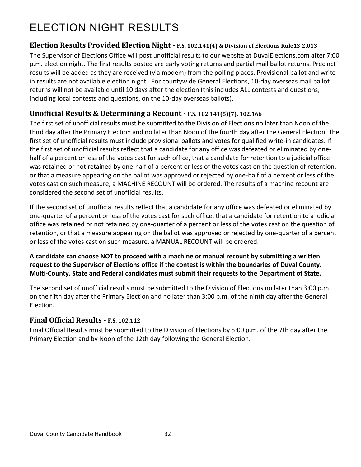# <span id="page-39-0"></span>ELECTION NIGHT RESULTS

#### <span id="page-39-1"></span>**Election Results Provided Election Night - F.S. 102.141(4) & Division of Elections Rule1S-2.013**

The Supervisor of Elections Office will post unofficial results to our website at DuvalElections.com after 7:00 p.m. election night. The first results posted are early voting returns and partial mail ballot returns. Precinct results will be added as they are received (via modem) from the polling places. Provisional ballot and writein results are not available election night. For countywide General Elections, 10-day overseas mail ballot returns will not be available until 10 days after the election (this includes ALL contests and questions, including local contests and questions, on the 10-day overseas ballots).

#### <span id="page-39-2"></span>**Unofficial Results & Determining a Recount - F.S. 102.141(5)(7), 102.166**

The first set of unofficial results must be submitted to the Division of Elections no later than Noon of the third day after the Primary Election and no later than Noon of the fourth day after the General Election. The first set of unofficial results must include provisional ballots and votes for qualified write-in candidates. If the first set of unofficial results reflect that a candidate for any office was defeated or eliminated by onehalf of a percent or less of the votes cast for such office, that a candidate for retention to a judicial office was retained or not retained by one-half of a percent or less of the votes cast on the question of retention, or that a measure appearing on the ballot was approved or rejected by one-half of a percent or less of the votes cast on such measure, a MACHINE RECOUNT will be ordered. The results of a machine recount are considered the second set of unofficial results.

If the second set of unofficial results reflect that a candidate for any office was defeated or eliminated by one-quarter of a percent or less of the votes cast for such office, that a candidate for retention to a judicial office was retained or not retained by one-quarter of a percent or less of the votes cast on the question of retention, or that a measure appearing on the ballot was approved or rejected by one-quarter of a percent or less of the votes cast on such measure, a MANUAL RECOUNT will be ordered.

**A candidate can choose NOT to proceed with a machine or manual recount by submitting a written request to the Supervisor of Elections office if the contest is within the boundaries of Duval County. Multi-County, State and Federal candidates must submit their requests to the Department of State.**

The second set of unofficial results must be submitted to the Division of Elections no later than 3:00 p.m. on the fifth day after the Primary Election and no later than 3:00 p.m. of the ninth day after the General Election.

### <span id="page-39-3"></span>**Final Official Results - F.S. 102.112**

Final Official Results must be submitted to the Division of Elections by 5:00 p.m. of the 7th day after the Primary Election and by Noon of the 12th day following the General Election.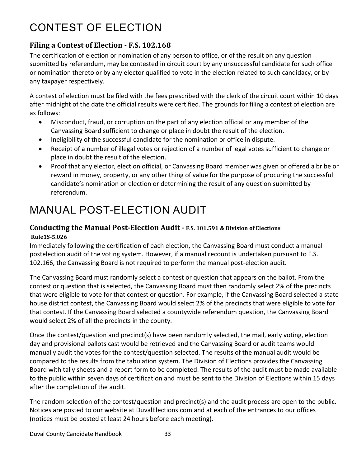# <span id="page-40-0"></span>CONTEST OF ELECTION

# <span id="page-40-1"></span>**Filing a Contest of Election - F.S. 102.168**

The certification of election or nomination of any person to office, or of the result on any question submitted by referendum, may be contested in circuit court by any unsuccessful candidate for such office or nomination thereto or by any elector qualified to vote in the election related to such candidacy, or by any taxpayer respectively.

A contest of election must be filed with the fees prescribed with the clerk of the circuit court within 10 days after midnight of the date the official results were certified. The grounds for filing a contest of election are as follows:

- Misconduct, fraud, or corruption on the part of any election official or any member of the Canvassing Board sufficient to change or place in doubt the result of the election.
- Ineligibility of the successful candidate for the nomination or office in dispute.
- Receipt of a number of illegal votes or rejection of a number of legal votes sufficient to change or place in doubt the result of the election.
- Proof that any elector, election official, or Canvassing Board member was given or offered a bribe or reward in money, property, or any other thing of value for the purpose of procuring the successful candidate's nomination or election or determining the result of any question submitted by referendum.

# <span id="page-40-2"></span>MANUAL POST-ELECTION AUDIT

### <span id="page-40-3"></span>**Conducting the Manual Post-Election Audit - F.S. 101.591 & Division of Elections Rule1S-5.026**

Immediately following the certification of each election, the Canvassing Board must conduct a manual postelection audit of the voting system. However, if a manual recount is undertaken pursuant to F.S. 102.166, the Canvassing Board is not required to perform the manual post-election audit.

The Canvassing Board must randomly select a contest or question that appears on the ballot. From the contest or question that is selected, the Canvassing Board must then randomly select 2% of the precincts that were eligible to vote for that contest or question. For example, if the Canvassing Board selected a state house district contest, the Canvassing Board would select 2% of the precincts that were eligible to vote for that contest. If the Canvassing Board selected a countywide referendum question, the Canvassing Board would select 2% of all the precincts in the county.

Once the contest/question and precinct(s) have been randomly selected, the mail, early voting, election day and provisional ballots cast would be retrieved and the Canvassing Board or audit teams would manually audit the votes for the contest/question selected. The results of the manual audit would be compared to the results from the tabulation system. The Division of Elections provides the Canvassing Board with tally sheets and a report form to be completed. The results of the audit must be made available to the public within seven days of certification and must be sent to the Division of Elections within 15 days after the completion of the audit.

The random selection of the contest/question and precinct(s) and the audit process are open to the public. Notices are posted to our website at DuvalElections.com and at each of the entrances to our offices (notices must be posted at least 24 hours before each meeting).

Duval County Candidate Handbook 33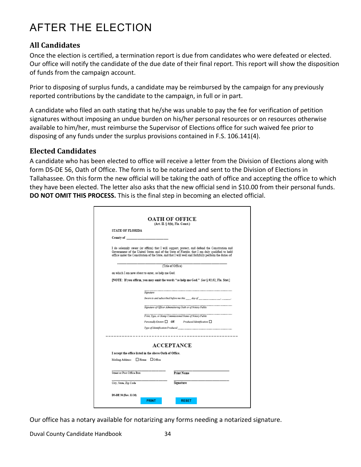# <span id="page-41-0"></span>AFTER THE ELECTION

#### <span id="page-41-1"></span>**All Candidates**

Once the election is certified, a termination report is due from candidates who were defeated or elected. Our office will notify the candidate of the due date of their final report. This report will show the disposition of funds from the campaign account.

Prior to disposing of surplus funds, a candidate may be reimbursed by the campaign for any previously reported contributions by the candidate to the campaign, in full or in part.

A candidate who filed an oath stating that he/she was unable to pay the fee for verification of petition signatures without imposing an undue burden on his/her personal resources or on resources otherwise available to him/her, must reimburse the Supervisor of Elections office for such waived fee prior to disposing of any funds under the surplus provisions contained in F.S. 106.141(4).

#### <span id="page-41-2"></span>**Elected Candidates**

A candidate who has been elected to office will receive a letter from the Division of Elections along with form DS-DE 56, Oath of Office. The form is to be notarized and sent to the Division of Elections in Tallahassee. On this form the new official will be taking the oath of office and accepting the office to which they have been elected. The letter also asks that the new official send in \$10.00 from their personal funds. **DO NOT OMIT THIS PROCESS.** This is the final step in becoming an elected official.

|                              | <b>OATH OF OFFICE</b><br>(Art. II. § 5(b), Fla. Const.)                                                                                                                                                                                                                                                 |  |  |
|------------------------------|---------------------------------------------------------------------------------------------------------------------------------------------------------------------------------------------------------------------------------------------------------------------------------------------------------|--|--|
| <b>STATE OF FLORIDA</b>      |                                                                                                                                                                                                                                                                                                         |  |  |
|                              | County of Theory of The County of The County of The County of The County of The County of The County of The County of The County of The County of The County of The County of The County of The County of The County of The Co                                                                          |  |  |
|                              | I do solemnly swear (or affirm) that I will support, protect, and defend the Constitution and<br>Government of the United States and of the State of Florida; that I am duly qualified to hold<br>office under the Constitution of the State, and that I will well and faithfully perform the duties of |  |  |
| (Title of Office)            |                                                                                                                                                                                                                                                                                                         |  |  |
|                              | on which I am now about to enter, so help me God.                                                                                                                                                                                                                                                       |  |  |
|                              | [NOTE: If you affirm, you may omit the words "so help me God." See 8 92.52. Fla. Stat.]                                                                                                                                                                                                                 |  |  |
|                              |                                                                                                                                                                                                                                                                                                         |  |  |
|                              | Stenature                                                                                                                                                                                                                                                                                               |  |  |
|                              | Sworn to and subscribed before me this $day\, of$ $\hspace{1.5cm} .$                                                                                                                                                                                                                                    |  |  |
|                              | Signature of Officer Administering Oath or of Notary Public                                                                                                                                                                                                                                             |  |  |
|                              | Print, Type, or Stamp Commissioned Name of Notary Public                                                                                                                                                                                                                                                |  |  |
|                              |                                                                                                                                                                                                                                                                                                         |  |  |
|                              | Type of Identification Produced                                                                                                                                                                                                                                                                         |  |  |
|                              |                                                                                                                                                                                                                                                                                                         |  |  |
|                              | <b>ACCEPTANCE</b>                                                                                                                                                                                                                                                                                       |  |  |
|                              | I accept the office listed in the above Oath of Office.                                                                                                                                                                                                                                                 |  |  |
|                              |                                                                                                                                                                                                                                                                                                         |  |  |
|                              |                                                                                                                                                                                                                                                                                                         |  |  |
| Mailing Address: Home Office |                                                                                                                                                                                                                                                                                                         |  |  |
| Street or Post Office Box    | Print Name                                                                                                                                                                                                                                                                                              |  |  |
|                              |                                                                                                                                                                                                                                                                                                         |  |  |
| City, State, Zip Code        | Signature                                                                                                                                                                                                                                                                                               |  |  |
| DS-DE 56 (Rev. 11/16)        |                                                                                                                                                                                                                                                                                                         |  |  |

Our office has a notary available for notarizing any forms needing a notarized signature.

Duval County Candidate Handbook 34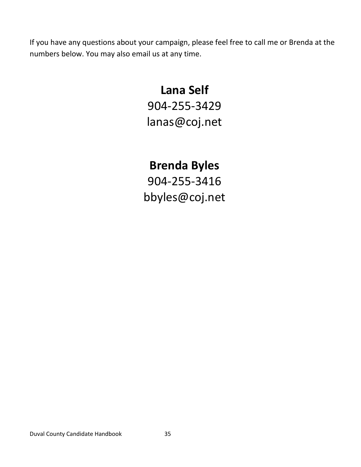If you have any questions about your campaign, please feel free to call me or Brenda at the numbers below. You may also email us at any time.

# **Lana Self** 904-255-3429 lanas@coj.net

# **Brenda Byles**

904-255-3416 bbyles@coj.net